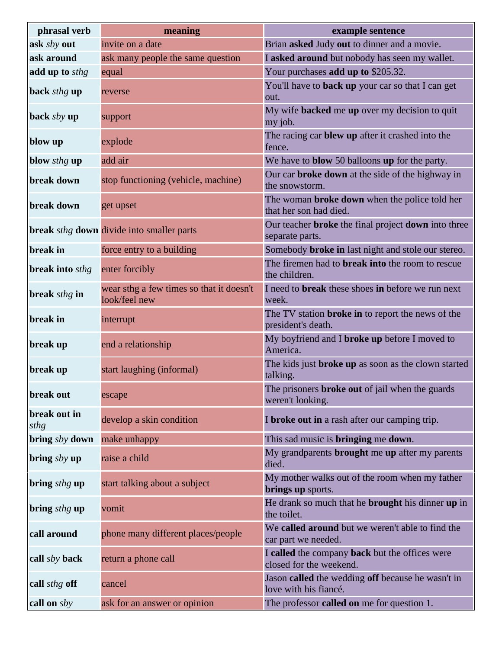| phrasal verb           | meaning                                                   | example sentence                                                               |
|------------------------|-----------------------------------------------------------|--------------------------------------------------------------------------------|
| ask sby out            | invite on a date                                          | Brian asked Judy out to dinner and a movie.                                    |
| ask around             | ask many people the same question                         | I asked around but nobody has seen my wallet.                                  |
| add up to sthg         | equal                                                     | Your purchases add up to \$205.32.                                             |
| back sthg up           | reverse                                                   | You'll have to back up your car so that I can get<br>out.                      |
| back $sby$ up          | support                                                   | My wife backed me up over my decision to quit<br>my job.                       |
| blow up                | explode                                                   | The racing car blew up after it crashed into the<br>fence.                     |
| blow sthg up           | add air                                                   | We have to <b>blow</b> 50 balloons up for the party.                           |
| break down             | stop functioning (vehicle, machine)                       | Our car <b>broke down</b> at the side of the highway in<br>the snowstorm.      |
| break down             | get upset                                                 | The woman <b>broke down</b> when the police told her<br>that her son had died. |
|                        | break sthg down divide into smaller parts                 | Our teacher broke the final project down into three<br>separate parts.         |
| break in               | force entry to a building                                 | Somebody <b>broke in</b> last night and stole our stereo.                      |
| <b>break into sthg</b> | enter forcibly                                            | The firemen had to <b>break into</b> the room to rescue<br>the children.       |
| break sthg in          | wear sthg a few times so that it doesn't<br>look/feel new | I need to <b>break</b> these shoes in before we run next<br>week.              |
| break in               | interrupt                                                 | The TV station <b>broke in</b> to report the news of the<br>president's death. |
| break up               | end a relationship                                        | My boyfriend and I broke up before I moved to<br>America.                      |
| break up               | start laughing (informal)                                 | The kids just broke up as soon as the clown started<br>talking.                |
| break out              | escape                                                    | The prisoners <b>broke out</b> of jail when the guards<br>weren't looking.     |
| break out in<br>sthg   | develop a skin condition                                  | I broke out in a rash after our camping trip.                                  |
| bring sby down         | make unhappy                                              | This sad music is <b>bringing</b> me <b>down</b> .                             |
| bring $sby$ up         | raise a child                                             | My grandparents <b>brought</b> me up after my parents<br>died.                 |
| bring <i>sthg</i> up   | start talking about a subject                             | My mother walks out of the room when my father<br>brings up sports.            |
| bring <i>sthg</i> up   | vomit                                                     | He drank so much that he <b>brought</b> his dinner up in<br>the toilet.        |
| call around            | phone many different places/people                        | We called around but we weren't able to find the<br>car part we needed.        |
| call sby back          | return a phone call                                       | I called the company back but the offices were<br>closed for the weekend.      |
| call <i>sthg</i> off   | cancel                                                    | Jason called the wedding off because he wasn't in<br>love with his fiancé.     |
| call on sby            | ask for an answer or opinion                              | The professor <b>called on</b> me for question 1.                              |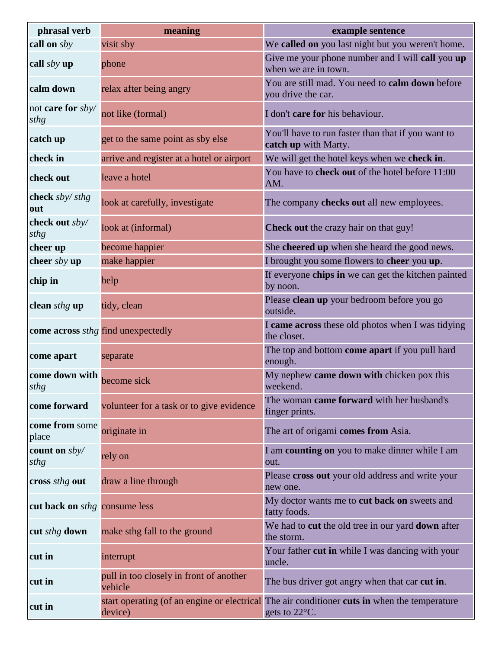| phrasal verb                         | meaning                                            | example sentence                                                                                              |
|--------------------------------------|----------------------------------------------------|---------------------------------------------------------------------------------------------------------------|
| call on sby                          | visit sby                                          | We called on you last night but you weren't home.                                                             |
| call $sby$ up                        | phone                                              | Give me your phone number and I will call you up<br>when we are in town.                                      |
| calm down                            | relax after being angry                            | You are still mad. You need to calm down before<br>you drive the car.                                         |
| not <b>care for</b> sby/<br>sthg     | not like (formal)                                  | I don't care for his behaviour.                                                                               |
| catch up                             | get to the same point as sby else                  | You'll have to run faster than that if you want to<br>catch up with Marty.                                    |
| check in                             | arrive and register at a hotel or airport          | We will get the hotel keys when we check in.                                                                  |
| check out                            | leave a hotel                                      | You have to check out of the hotel before 11:00<br>AM.                                                        |
| check sby/sthg<br>out                | look at carefully, investigate                     | The company checks out all new employees.                                                                     |
| check out sby/<br>sthg               | look at (informal)                                 | Check out the crazy hair on that guy!                                                                         |
| cheer up                             | become happier                                     | She cheered up when she heard the good news.                                                                  |
| cheer sby up                         | make happier                                       | I brought you some flowers to cheer you up.                                                                   |
| chip in                              | help                                               | If everyone chips in we can get the kitchen painted<br>by noon.                                               |
| clean sthg up                        | tidy, clean                                        | Please clean up your bedroom before you go<br>outside.                                                        |
|                                      | come across <i>sthg</i> find unexpectedly          | I came across these old photos when I was tidying<br>the closet.                                              |
| come apart                           | separate                                           | The top and bottom come apart if you pull hard<br>enough.                                                     |
| come down with<br>sthg               | become sick                                        | My nephew came down with chicken pox this<br>weekend.                                                         |
| come forward                         | volunteer for a task or to give evidence           | The woman came forward with her husband's<br>finger prints.                                                   |
| come from some<br>place              | originate in                                       | The art of origami comes from Asia.                                                                           |
| count on sby/<br>sthg                | rely on                                            | I am counting on you to make dinner while I am<br>out.                                                        |
| cross sthg out                       | draw a line through                                | Please cross out your old address and write your<br>new one.                                                  |
| cut back on <i>sthg</i> consume less |                                                    | My doctor wants me to cut back on sweets and<br>fatty foods.                                                  |
| cut sthg down                        | make sthg fall to the ground                       | We had to cut the old tree in our yard down after<br>the storm.                                               |
| cut in                               | interrupt                                          | Your father cut in while I was dancing with your<br>uncle.                                                    |
| cut in                               | pull in too closely in front of another<br>vehicle | The bus driver got angry when that car cut in.                                                                |
| cut in                               | device)                                            | start operating (of an engine or electrical The air conditioner cuts in when the temperature<br>gets to 22°C. |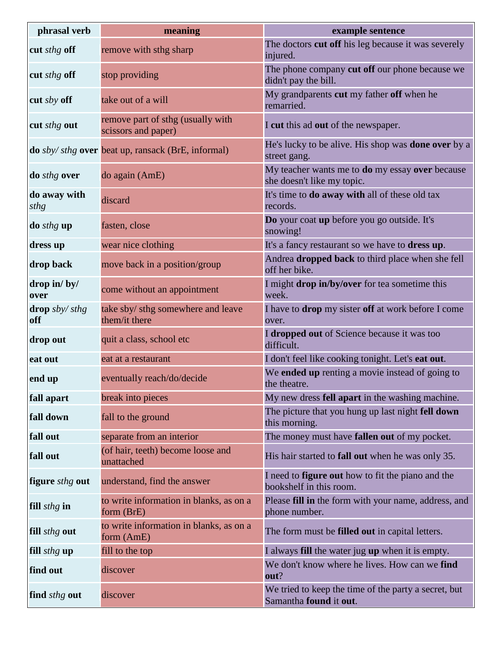| phrasal verb                | meaning                                                          | example sentence                                                                            |
|-----------------------------|------------------------------------------------------------------|---------------------------------------------------------------------------------------------|
| cut sthg off                | remove with sthg sharp                                           | The doctors cut off his leg because it was severely<br>injured.                             |
| cut sthg off                | stop providing                                                   | The phone company cut off our phone because we<br>didn't pay the bill.                      |
| cut sby off                 | take out of a will                                               | My grandparents cut my father off when he<br>remarried.                                     |
| cut sthg out                | remove part of sthg (usually with<br>scissors and paper)         | I cut this ad out of the newspaper.                                                         |
|                             | <b>do</b> sby/ sthg <b>over</b> beat up, ransack (BrE, informal) | He's lucky to be alive. His shop was <b>done over</b> by a<br>street gang.                  |
| do <i>sthg</i> over         | do again (AmE)                                                   | My teacher wants me to <b>do</b> my essay <b>over</b> because<br>she doesn't like my topic. |
| do away with<br>sthg        | discard                                                          | It's time to <b>do away with</b> all of these old tax<br>records.                           |
| do sthg up                  | fasten, close                                                    | Do your coat up before you go outside. It's<br>snowing!                                     |
| dress up                    | wear nice clothing                                               | It's a fancy restaurant so we have to <b>dress up</b> .                                     |
| drop back                   | move back in a position/group                                    | Andrea dropped back to third place when she fell<br>off her bike.                           |
| drop in/by/<br>over         | come without an appointment                                      | I might drop in/by/over for tea sometime this<br>week.                                      |
| drop $s$ by/ $s$ thg<br>off | take sby/ sthg somewhere and leave<br>them/it there              | I have to drop my sister off at work before I come<br>over.                                 |
| drop out                    | quit a class, school etc                                         | I dropped out of Science because it was too<br>difficult.                                   |
| eat out                     | eat at a restaurant                                              | I don't feel like cooking tonight. Let's eat out.                                           |
| end up                      | eventually reach/do/decide                                       | We ended up renting a movie instead of going to<br>the theatre.                             |
| fall apart                  | break into pieces                                                | My new dress fell apart in the washing machine.                                             |
| fall down                   | fall to the ground                                               | The picture that you hung up last night fell down<br>this morning.                          |
| fall out                    | separate from an interior                                        | The money must have fallen out of my pocket.                                                |
| fall out                    | (of hair, teeth) become loose and<br>unattached                  | His hair started to <b>fall out</b> when he was only 35.                                    |
| figure sthg out             | understand, find the answer                                      | I need to <b>figure out</b> how to fit the piano and the<br>bookshelf in this room.         |
| fill <i>sthg</i> in         | to write information in blanks, as on a<br>form (BrE)            | Please fill in the form with your name, address, and<br>phone number.                       |
| fill sthg out               | to write information in blanks, as on a<br>form (AmE)            | The form must be filled out in capital letters.                                             |
| fill sthg up                | fill to the top                                                  | I always <b>fill</b> the water jug up when it is empty.                                     |
| find out                    | discover                                                         | We don't know where he lives. How can we find<br>out?                                       |
| find <i>sthg</i> out        | discover                                                         | We tried to keep the time of the party a secret, but<br>Samantha found it out.              |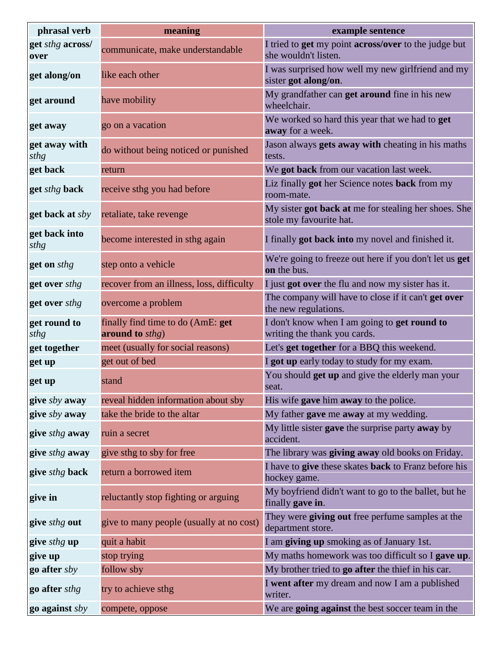| phrasal verb             | meaning                                              | example sentence                                                                           |
|--------------------------|------------------------------------------------------|--------------------------------------------------------------------------------------------|
| get sthg across/<br>over | communicate, make understandable                     | I tried to <b>get</b> my point <b>across/over</b> to the judge but<br>she wouldn't listen. |
| get along/on             | like each other                                      | I was surprised how well my new girlfriend and my<br>sister got along/on.                  |
| get around               | have mobility                                        | My grandfather can get around fine in his new<br>wheelchair.                               |
| get away                 | go on a vacation                                     | We worked so hard this year that we had to get<br>away for a week.                         |
| get away with<br>sthg    | do without being noticed or punished                 | Jason always gets away with cheating in his maths<br>tests.                                |
| get back                 | return                                               | We got back from our vacation last week.                                                   |
| get sthg back            | receive sthg you had before                          | Liz finally got her Science notes back from my<br>room-mate.                               |
| get back at sby          | retaliate, take revenge                              | My sister got back at me for stealing her shoes. She<br>stole my favourite hat.            |
| get back into<br>sthg    | become interested in sthg again                      | I finally got back into my novel and finished it.                                          |
| get on sthg              | step onto a vehicle                                  | We're going to freeze out here if you don't let us get<br>on the bus.                      |
| get over sthg            | recover from an illness, loss, difficulty            | I just got over the flu and now my sister has it.                                          |
| get over sthg            | overcome a problem                                   | The company will have to close if it can't get over<br>the new regulations.                |
| get round to<br>sthg     | finally find time to do (AmE: get<br>around to sthg) | I don't know when I am going to get round to<br>writing the thank you cards.               |
| get together             | meet (usually for social reasons)                    | Let's <b>get together</b> for a BBQ this weekend.                                          |
| get up                   | get out of bed                                       | I got up early today to study for my exam.                                                 |
| get up                   | stand                                                | You should <b>get up</b> and give the elderly man your<br>seat.                            |
| give sby away            | reveal hidden information about sby                  | His wife gave him away to the police.                                                      |
| give sby away            | take the bride to the altar                          | My father gave me away at my wedding.                                                      |
| give sthg away           | ruin a secret                                        | My little sister gave the surprise party away by<br>accident.                              |
| give sthg away           | give sthg to sby for free                            | The library was giving away old books on Friday.                                           |
| give sthg back           | return a borrowed item                               | I have to give these skates back to Franz before his<br>hockey game.                       |
| give in                  | reluctantly stop fighting or arguing                 | My boyfriend didn't want to go to the ballet, but he<br>finally gave in.                   |
| give <i>sthg</i> out     | give to many people (usually at no cost)             | They were giving out free perfume samples at the<br>department store.                      |
| give sthg up             | quit a habit                                         | I am giving up smoking as of January 1st.                                                  |
| give up                  | stop trying                                          | My maths homework was too difficult so I gave up.                                          |
| go after sby             | follow sby                                           | My brother tried to go after the thief in his car.                                         |
| go after <i>sthg</i>     | try to achieve sthg                                  | I went after my dream and now I am a published<br>writer.                                  |
| go against sby           | compete, oppose                                      | We are going against the best soccer team in the                                           |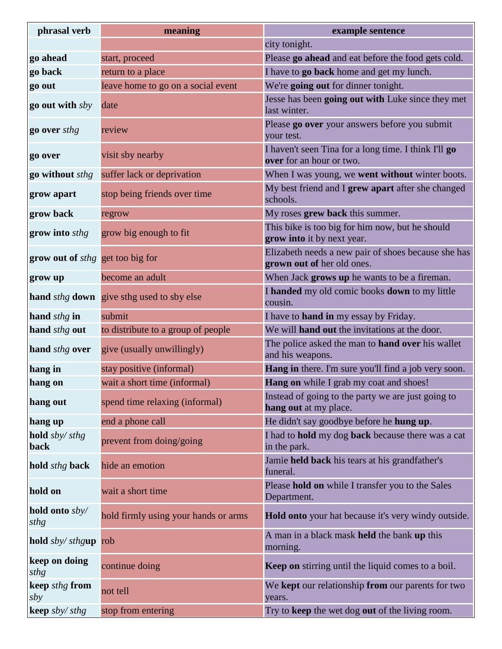| phrasal verb                            | meaning                                                        | example sentence                                                                  |
|-----------------------------------------|----------------------------------------------------------------|-----------------------------------------------------------------------------------|
|                                         |                                                                | city tonight.                                                                     |
| go ahead                                | start, proceed                                                 | Please go ahead and eat before the food gets cold.                                |
| go back                                 | return to a place                                              | I have to <b>go back</b> home and get my lunch.                                   |
| go out                                  | leave home to go on a social event                             | We're going out for dinner tonight.                                               |
| go out with sby                         | date                                                           | Jesse has been going out with Luke since they met<br>last winter.                 |
| go over sthg                            | review                                                         | Please go over your answers before you submit<br>your test.                       |
| go over                                 | visit sby nearby                                               | I haven't seen Tina for a long time. I think I'll go<br>over for an hour or two.  |
| go without sthg                         | suffer lack or deprivation                                     | When I was young, we went without winter boots.                                   |
| grow apart                              | stop being friends over time                                   | My best friend and I grew apart after she changed<br>schools.                     |
| grow back                               | regrow                                                         | My roses grew back this summer.                                                   |
| grow into sthg                          | grow big enough to fit                                         | This bike is too big for him now, but he should<br>grow into it by next year.     |
| grow out of <i>sthg</i> get too big for |                                                                | Elizabeth needs a new pair of shoes because she has<br>grown out of her old ones. |
| grow up                                 | become an adult                                                | When Jack grows up he wants to be a fireman.                                      |
|                                         | <b>hand</b> <i>sthg</i> <b>down</b> give sthg used to sby else | I handed my old comic books down to my little<br>cousin.                          |
| hand sthg in                            | submit                                                         | I have to hand in my essay by Friday.                                             |
| hand sthg out                           | to distribute to a group of people                             | We will <b>hand out</b> the invitations at the door.                              |
| hand sthg over                          | give (usually unwillingly)                                     | The police asked the man to hand over his wallet<br>and his weapons.              |
| hang in                                 | stay positive (informal)                                       | Hang in there. I'm sure you'll find a job very soon.                              |
| hang on                                 | wait a short time (informal)                                   | Hang on while I grab my coat and shoes!                                           |
| hang out                                | spend time relaxing (informal)                                 | Instead of going to the party we are just going to<br>hang out at my place.       |
| hang up                                 | end a phone call                                               | He didn't say goodbye before he hung up.                                          |
| hold sby/sthg<br>back                   | prevent from doing/going                                       | I had to hold my dog back because there was a cat<br>in the park.                 |
| hold sthg back                          | hide an emotion                                                | Jamie held back his tears at his grandfather's<br>funeral.                        |
| hold on                                 | wait a short time                                              | Please hold on while I transfer you to the Sales<br>Department.                   |
| hold onto sby/<br>sthg                  | hold firmly using your hands or arms                           | Hold onto your hat because it's very windy outside.                               |
| hold sby/sthgup                         | rob                                                            | A man in a black mask held the bank up this<br>morning.                           |
| keep on doing<br>sthg                   | continue doing                                                 | <b>Keep on</b> stirring until the liquid comes to a boil.                         |
| keep sthg from<br>sby                   | not tell                                                       | We kept our relationship from our parents for two<br>years.                       |
| keep sby/ sthg                          | stop from entering                                             | Try to keep the wet dog out of the living room.                                   |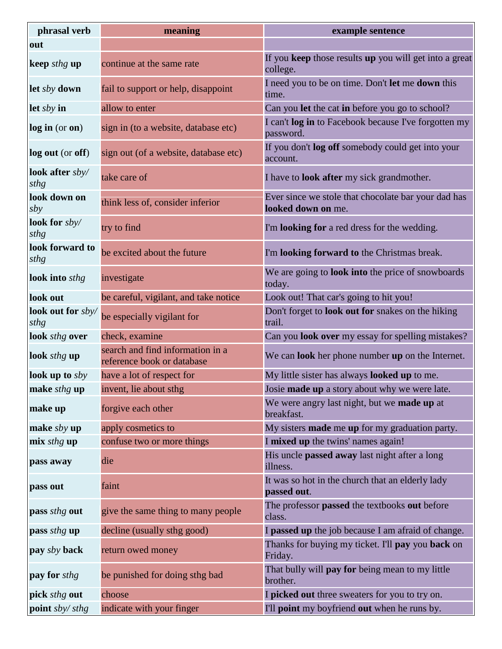| phrasal verb              | meaning                                                        | example sentence                                                          |
|---------------------------|----------------------------------------------------------------|---------------------------------------------------------------------------|
| out                       |                                                                |                                                                           |
| keep sthg up              | continue at the same rate                                      | If you keep those results up you will get into a great<br>college.        |
| let sby down              | fail to support or help, disappoint                            | I need you to be on time. Don't let me down this<br>time.                 |
| let $sby$ in              | allow to enter                                                 | Can you let the cat in before you go to school?                           |
| log in (or on)            | sign in (to a website, database etc)                           | I can't log in to Facebook because I've forgotten my<br>password.         |
| log out (or off)          | sign out (of a website, database etc)                          | If you don't log off somebody could get into your<br>account.             |
| look after sby/<br>sthg   | take care of                                                   | I have to <b>look after</b> my sick grandmother.                          |
| look down on<br>sby       | think less of, consider inferior                               | Ever since we stole that chocolate bar your dad has<br>looked down on me. |
| look for $sby/$<br>sthg   | try to find                                                    | I'm looking for a red dress for the wedding.                              |
| look forward to<br>sthg   | be excited about the future                                    | I'm looking forward to the Christmas break.                               |
| look into sthg            | investigate                                                    | We are going to <b>look into</b> the price of snowboards<br>today.        |
| look out                  | be careful, vigilant, and take notice                          | Look out! That car's going to hit you!                                    |
| look out for sby/<br>sthg | be especially vigilant for                                     | Don't forget to look out for snakes on the hiking<br>trail.               |
| look sthg over            | check, examine                                                 | Can you look over my essay for spelling mistakes?                         |
| look sthg up              | search and find information in a<br>reference book or database | We can <b>look</b> her phone number <b>up</b> on the Internet.            |
| look up to $sby$          | have a lot of respect for                                      | My little sister has always <b>looked up</b> to me.                       |
| make <i>sthg</i> up       | invent, lie about sthg                                         | Josie made up a story about why we were late.                             |
| make up                   | forgive each other                                             | We were angry last night, but we made up at<br>breakfast.                 |
| make $sby$ up             | apply cosmetics to                                             | My sisters <b>made</b> me up for my graduation party.                     |
| mix sthg up               | confuse two or more things                                     | I mixed up the twins' names again!                                        |
| pass away                 | die                                                            | His uncle passed away last night after a long<br>illness.                 |
| pass out                  | faint                                                          | It was so hot in the church that an elderly lady<br>passed out.           |
| pass sthg out             | give the same thing to many people                             | The professor passed the textbooks out before<br>class.                   |
| pass sthg up              | decline (usually sthg good)                                    | I passed up the job because I am afraid of change.                        |
| pay sby back              | return owed money                                              | Thanks for buying my ticket. I'll pay you back on<br>Friday.              |
| pay for sthg              | be punished for doing sthg bad                                 | That bully will pay for being mean to my little<br>brother.               |
| pick sthg out             | choose                                                         | I picked out three sweaters for you to try on.                            |
| point sby/sthg            | indicate with your finger                                      | I'll <b>point</b> my boyfriend out when he runs by.                       |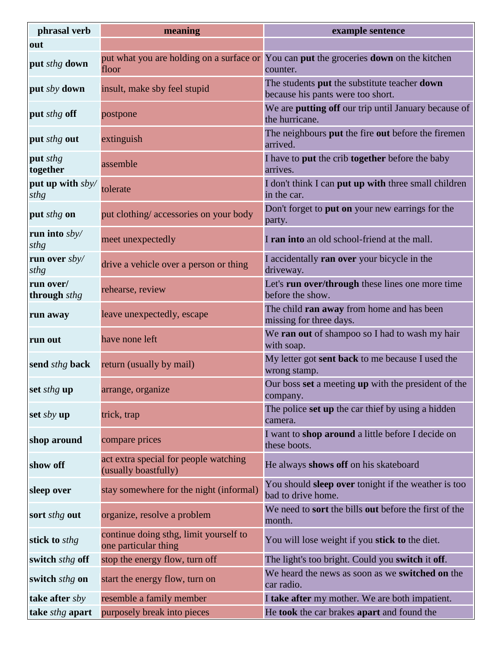| phrasal verb              | meaning                                                        | example sentence                                                                                   |
|---------------------------|----------------------------------------------------------------|----------------------------------------------------------------------------------------------------|
| out                       |                                                                |                                                                                                    |
| put sthg down             | floor                                                          | put what you are holding on a surface or You can put the groceries down on the kitchen<br>counter. |
| put sby down              | insult, make sby feel stupid                                   | The students put the substitute teacher down<br>because his pants were too short.                  |
| put sthg off              | postpone                                                       | We are putting off our trip until January because of<br>the hurricane.                             |
| put <i>sthg</i> out       | extinguish                                                     | The neighbours put the fire out before the firemen<br>arrived.                                     |
| put sthg<br>together      | assemble                                                       | I have to put the crib together before the baby<br>arrives.                                        |
| put up with sby/<br>sthg  | tolerate                                                       | I don't think I can put up with three small children<br>in the car.                                |
| put sthg on               | put clothing/accessories on your body                          | Don't forget to <b>put on</b> your new earrings for the<br>party.                                  |
| run into $sby/$<br>sthg   | meet unexpectedly                                              | I ran into an old school-friend at the mall.                                                       |
| run over $sby/$<br>sthg   | drive a vehicle over a person or thing                         | I accidentally ran over your bicycle in the<br>driveway.                                           |
| run over/<br>through sthg | rehearse, review                                               | Let's run over/through these lines one more time<br>before the show.                               |
| run away                  | leave unexpectedly, escape                                     | The child ran away from home and has been<br>missing for three days.                               |
| run out                   | have none left                                                 | We ran out of shampoo so I had to wash my hair<br>with soap.                                       |
| send <i>sthg</i> back     | return (usually by mail)                                       | My letter got sent back to me because I used the<br>wrong stamp.                                   |
| set <i>sthg</i> up        | arrange, organize                                              | Our boss set a meeting up with the president of the<br>company.                                    |
| set $sby$ up              | trick, trap                                                    | The police set up the car thief by using a hidden<br>camera.                                       |
| shop around               | compare prices                                                 | I want to shop around a little before I decide on<br>these boots.                                  |
| show off                  | act extra special for people watching<br>(usually boastfully)  | He always shows off on his skateboard                                                              |
| sleep over                | stay somewhere for the night (informal)                        | You should sleep over tonight if the weather is too<br>bad to drive home.                          |
| sort <i>sthg</i> out      | organize, resolve a problem                                    | We need to <b>sort</b> the bills <b>out</b> before the first of the<br>month.                      |
| stick to sthg             | continue doing sthg, limit yourself to<br>one particular thing | You will lose weight if you stick to the diet.                                                     |
| switch sthg off           | stop the energy flow, turn off                                 | The light's too bright. Could you switch it off.                                                   |
| switch sthg on            | start the energy flow, turn on                                 | We heard the news as soon as we switched on the<br>car radio.                                      |
| take after sby            | resemble a family member                                       | I take after my mother. We are both impatient.                                                     |
| take sthg apart           | purposely break into pieces                                    | He took the car brakes apart and found the                                                         |